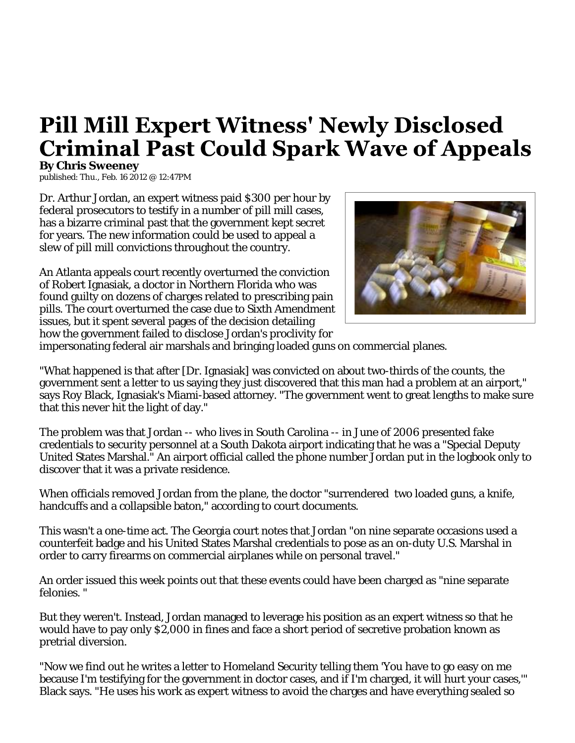## **Pill Mill Expert Witness' Newly Disclosed Criminal Past Could Spark Wave of Appeals**

**By Chris Sweeney**

published: Thu., Feb. 16 2012 @ 12:47PM

Dr. Arthur Jordan, an expert witness paid \$300 per hour by federal prosecutors to testify in a number of pill mill cases, has a bizarre criminal past that the government kept secret for years. The new information could be used to appeal a slew of pill mill convictions throughout the country.

An Atlanta appeals court recently overturned the conviction of Robert Ignasiak, a doctor in Northern Florida who was found guilty on dozens of charges related to prescribing pain pills. The court overturned the case due to Sixth Amendment issues, but it spent several pages of the decision detailing how the government failed to disclose Jordan's proclivity for



impersonating federal air marshals and bringing loaded guns on commercial planes.

"What happened is that after [Dr. Ignasiak] was convicted on about two-thirds of the counts, the government sent a letter to us saying they just discovered that this man had a problem at an airport," says Roy Black, Ignasiak's Miami-based attorney. "The government went to great lengths to make sure that this never hit the light of day."

The problem was that Jordan -- who lives in South Carolina -- in June of 2006 presented fake credentials to security personnel at a South Dakota airport indicating that he was a "Special Deputy United States Marshal." An airport official called the phone number Jordan put in the logbook only to discover that it was a private residence.

When officials removed Jordan from the plane, the doctor "surrendered two loaded guns, a knife, handcuffs and a collapsible baton," according to court documents.

This wasn't a one-time act. The Georgia court notes that Jordan "on nine separate occasions used a counterfeit badge and his United States Marshal credentials to pose as an on-duty U.S. Marshal in order to carry firearms on commercial airplanes while on personal travel."

An order issued this week points out that these events could have been charged as "nine separate felonies. "

But they weren't. Instead, Jordan managed to leverage his position as an expert witness so that he would have to pay only \$2,000 in fines and face a short period of secretive probation known as pretrial diversion.

"Now we find out he writes a letter to Homeland Security telling them 'You have to go easy on me because I'm testifying for the government in doctor cases, and if I'm charged, it will hurt your cases,'" Black says. "He uses his work as expert witness to avoid the charges and have everything sealed so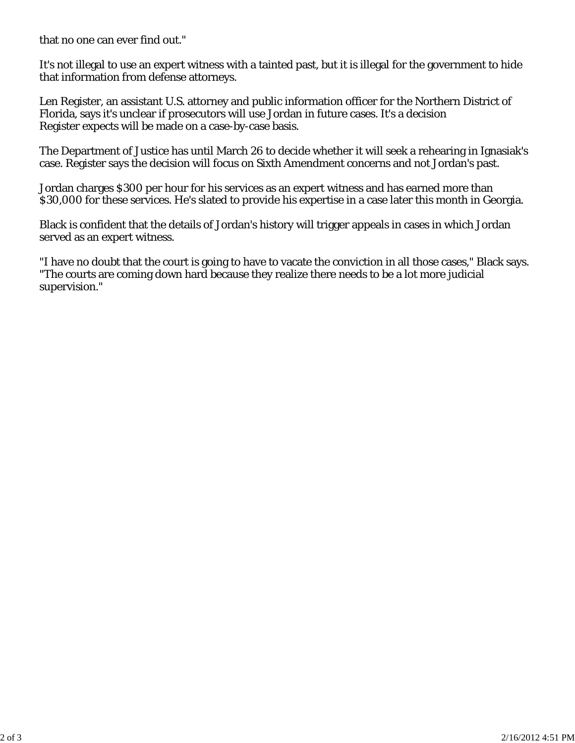that no one can ever find out."

It's not illegal to use an expert witness with a tainted past, but it is illegal for the government to hide that information from defense attorneys.

Len Register, an assistant U.S. attorney and public information officer for the Northern District of Florida, says it's unclear if prosecutors will use Jordan in future cases. It's a decision Register expects will be made on a case-by-case basis.

The Department of Justice has until March 26 to decide whether it will seek a rehearing in Ignasiak's case. Register says the decision will focus on Sixth Amendment concerns and not Jordan's past.

Jordan charges \$300 per hour for his services as an expert witness and has earned more than \$30,000 for these services. He's slated to provide his expertise in a case later this month in Georgia.

Black is confident that the details of Jordan's history will trigger appeals in cases in which Jordan served as an expert witness.

"I have no doubt that the court is going to have to vacate the conviction in all those cases," Black says. "The courts are coming down hard because they realize there needs to be a lot more judicial supervision."